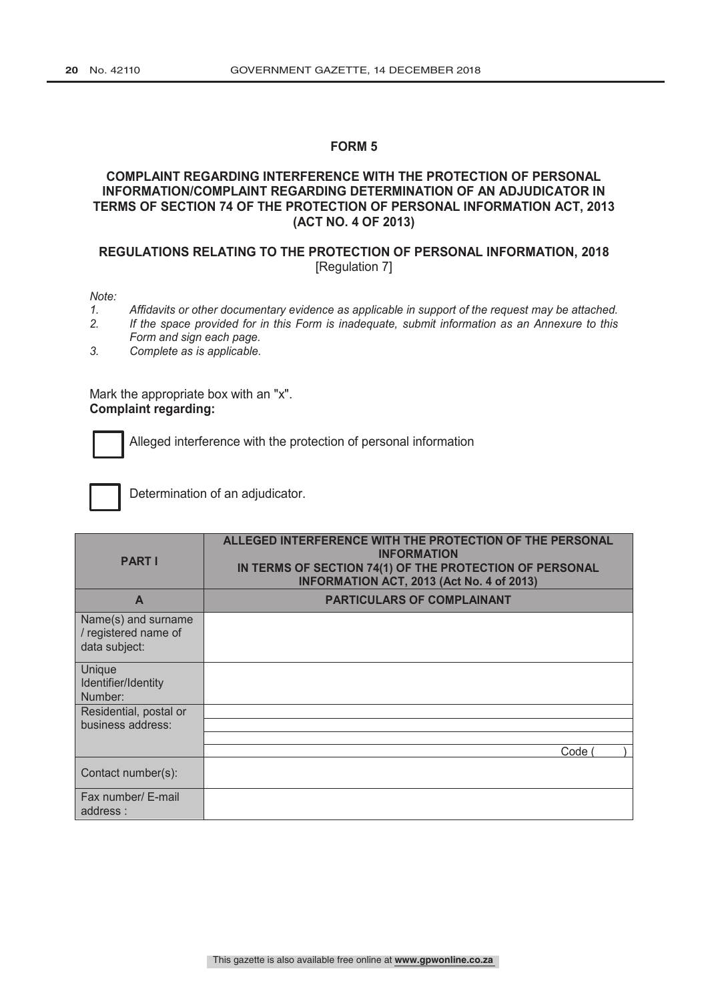## **FORM 5**

## **COMPLAINT REGARDING INTERFERENCE WITH THE PROTECTION OF PERSONAL INFORMATION/COMPLAINT REGARDING DETERMINATION OF AN ADJUDICATOR IN TERMS OF SECTION 74 OF THE PROTECTION OF PERSONAL INFORMATION ACT, 2013 (ACT NO. 4 OF 2013)**

## **REGULATIONS RELATING TO THE PROTECTION OF PERSONAL INFORMATION, 2018** [Regulation 7]

*Note:*

- *1. Affidavits or other documentary evidence as applicable in support of the request may be attached.*
- *2. If the space provided for in this Form is inadequate, submit information as an Annexure to this Form and sign each page.*
- *3. Complete as is applicable.*

Mark the appropriate box with an "x". **Complaint regarding:**

Alleged interference with the protection of personal information



Determination of an adjudicator.

| <b>PART I</b>                                                | ALLEGED INTERFERENCE WITH THE PROTECTION OF THE PERSONAL<br><b>INFORMATION</b><br>IN TERMS OF SECTION 74(1) OF THE PROTECTION OF PERSONAL<br>INFORMATION ACT, 2013 (Act No. 4 of 2013) |
|--------------------------------------------------------------|----------------------------------------------------------------------------------------------------------------------------------------------------------------------------------------|
| A                                                            | <b>PARTICULARS OF COMPLAINANT</b>                                                                                                                                                      |
| Name(s) and surname<br>/ registered name of<br>data subject: |                                                                                                                                                                                        |
| Unique<br>Identifier/Identity<br>Number:                     |                                                                                                                                                                                        |
| Residential, postal or<br>business address:                  |                                                                                                                                                                                        |
| Contact number(s):                                           | Code i                                                                                                                                                                                 |
| Fax number/ E-mail<br>address:                               |                                                                                                                                                                                        |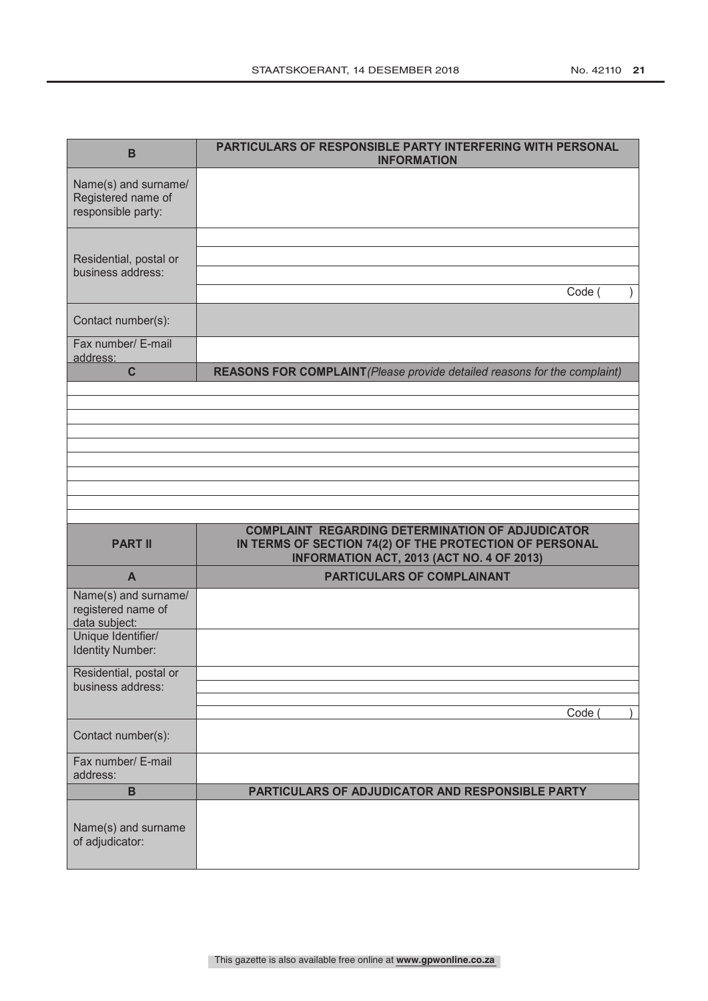| B                                                                | PARTICULARS OF RESPONSIBLE PARTY INTERFERING WITH PERSONAL<br><b>INFORMATION</b>                                                                                |
|------------------------------------------------------------------|-----------------------------------------------------------------------------------------------------------------------------------------------------------------|
| Name(s) and surname/<br>Registered name of<br>responsible party: |                                                                                                                                                                 |
| Residential, postal or<br>business address:                      | Code (                                                                                                                                                          |
| Contact number(s):                                               |                                                                                                                                                                 |
| Fax number/ E-mail<br>address:                                   |                                                                                                                                                                 |
| $\mathbf C$                                                      | REASONS FOR COMPLAINT (Please provide detailed reasons for the complaint)                                                                                       |
|                                                                  |                                                                                                                                                                 |
|                                                                  |                                                                                                                                                                 |
|                                                                  |                                                                                                                                                                 |
|                                                                  |                                                                                                                                                                 |
|                                                                  |                                                                                                                                                                 |
| <b>PART II</b>                                                   | <b>COMPLAINT REGARDING DETERMINATION OF ADJUDICATOR</b><br>IN TERMS OF SECTION 74(2) OF THE PROTECTION OF PERSONAL<br>INFORMATION ACT, 2013 (ACT NO. 4 OF 2013) |
| A                                                                | <b>PARTICULARS OF COMPLAINANT</b>                                                                                                                               |
| Name(s) and surname/<br>registered name of<br>data subject:      |                                                                                                                                                                 |
| Unique Identifier/<br><b>Identity Number:</b>                    |                                                                                                                                                                 |
| Residential, postal or<br>business address:                      |                                                                                                                                                                 |
|                                                                  | Code                                                                                                                                                            |
| Contact number(s):                                               |                                                                                                                                                                 |
| Fax number/ E-mail<br>address:                                   |                                                                                                                                                                 |
| $\mathbf B$                                                      | PARTICULARS OF ADJUDICATOR AND RESPONSIBLE PARTY                                                                                                                |
| Name(s) and surname<br>of adjudicator:                           |                                                                                                                                                                 |